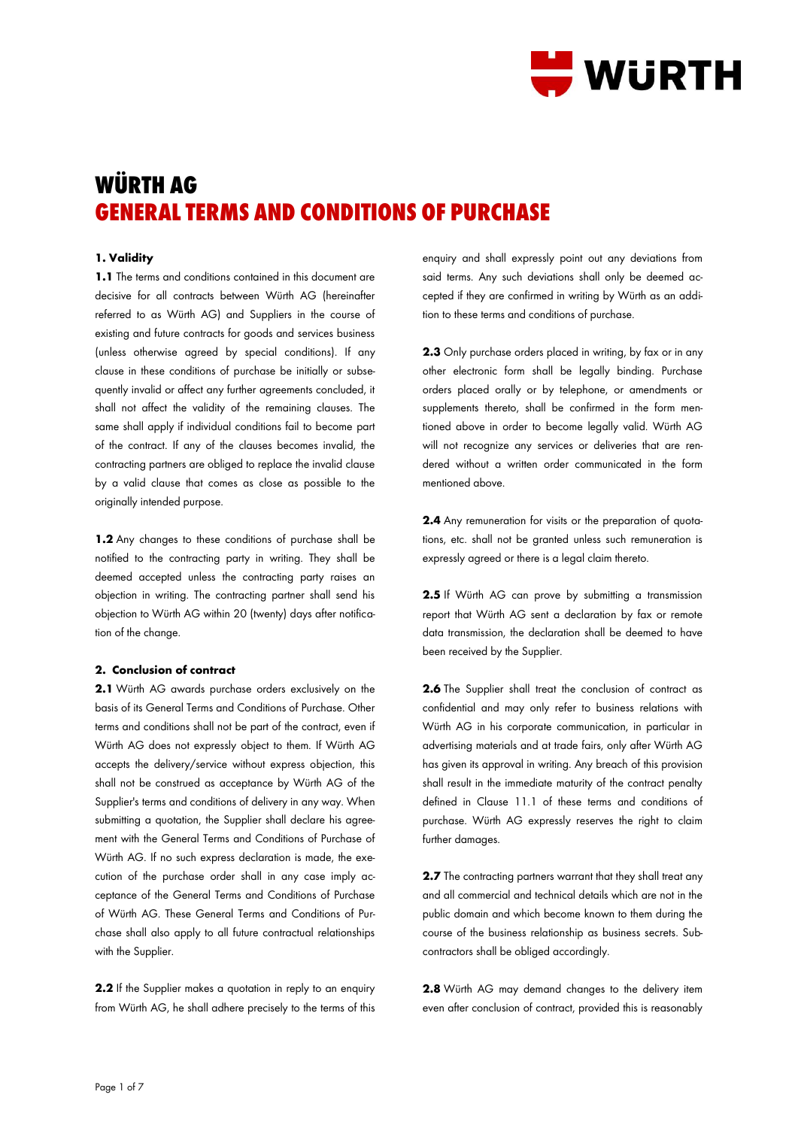

# **WÜRTH AG GENERAL TERMS AND CONDITIONS OF PURCHASE**

# **1. Validity**

**1.1** The terms and conditions contained in this document are decisive for all contracts between Würth AG (hereinafter referred to as Würth AG) and Suppliers in the course of existing and future contracts for goods and services business (unless otherwise agreed by special conditions). If any clause in these conditions of purchase be initially or subsequently invalid or affect any further agreements concluded, it shall not affect the validity of the remaining clauses. The same shall apply if individual conditions fail to become part of the contract. If any of the clauses becomes invalid, the contracting partners are obliged to replace the invalid clause by a valid clause that comes as close as possible to the originally intended purpose.

**1.2** Any changes to these conditions of purchase shall be notified to the contracting party in writing. They shall be deemed accepted unless the contracting party raises an objection in writing. The contracting partner shall send his objection to Würth AG within 20 (twenty) days after notification of the change.

# **2. Conclusion of contract**

**2.1** Würth AG awards purchase orders exclusively on the basis of its General Terms and Conditions of Purchase. Other terms and conditions shall not be part of the contract, even if Würth AG does not expressly object to them. If Würth AG accepts the delivery/service without express objection, this shall not be construed as acceptance by Würth AG of the Supplier's terms and conditions of delivery in any way. When submitting a quotation, the Supplier shall declare his agreement with the General Terms and Conditions of Purchase of Würth AG. If no such express declaration is made, the execution of the purchase order shall in any case imply acceptance of the General Terms and Conditions of Purchase of Würth AG. These General Terms and Conditions of Purchase shall also apply to all future contractual relationships with the Supplier.

2.2 If the Supplier makes a quotation in reply to an enquiry from Würth AG, he shall adhere precisely to the terms of this enquiry and shall expressly point out any deviations from said terms. Any such deviations shall only be deemed accepted if they are confirmed in writing by Würth as an addition to these terms and conditions of purchase.

**2.3** Only purchase orders placed in writing, by fax or in any other electronic form shall be legally binding. Purchase orders placed orally or by telephone, or amendments or supplements thereto, shall be confirmed in the form mentioned above in order to become legally valid. Würth AG will not recognize any services or deliveries that are rendered without a written order communicated in the form mentioned above.

**2.4** Any remuneration for visits or the preparation of quotations, etc. shall not be granted unless such remuneration is expressly agreed or there is a legal claim thereto.

**2.5** If Würth AG can prove by submitting a transmission report that Würth AG sent a declaration by fax or remote data transmission, the declaration shall be deemed to have been received by the Supplier.

**2.6** The Supplier shall treat the conclusion of contract as confidential and may only refer to business relations with Würth AG in his corporate communication, in particular in advertising materials and at trade fairs, only after Würth AG has given its approval in writing. Any breach of this provision shall result in the immediate maturity of the contract penalty defined in Clause 11.1 of these terms and conditions of purchase. Würth AG expressly reserves the right to claim further damages.

**2.7** The contracting partners warrant that they shall treat any and all commercial and technical details which are not in the public domain and which become known to them during the course of the business relationship as business secrets. Subcontractors shall be obliged accordingly.

**2.8** Würth AG may demand changes to the delivery item even after conclusion of contract, provided this is reasonably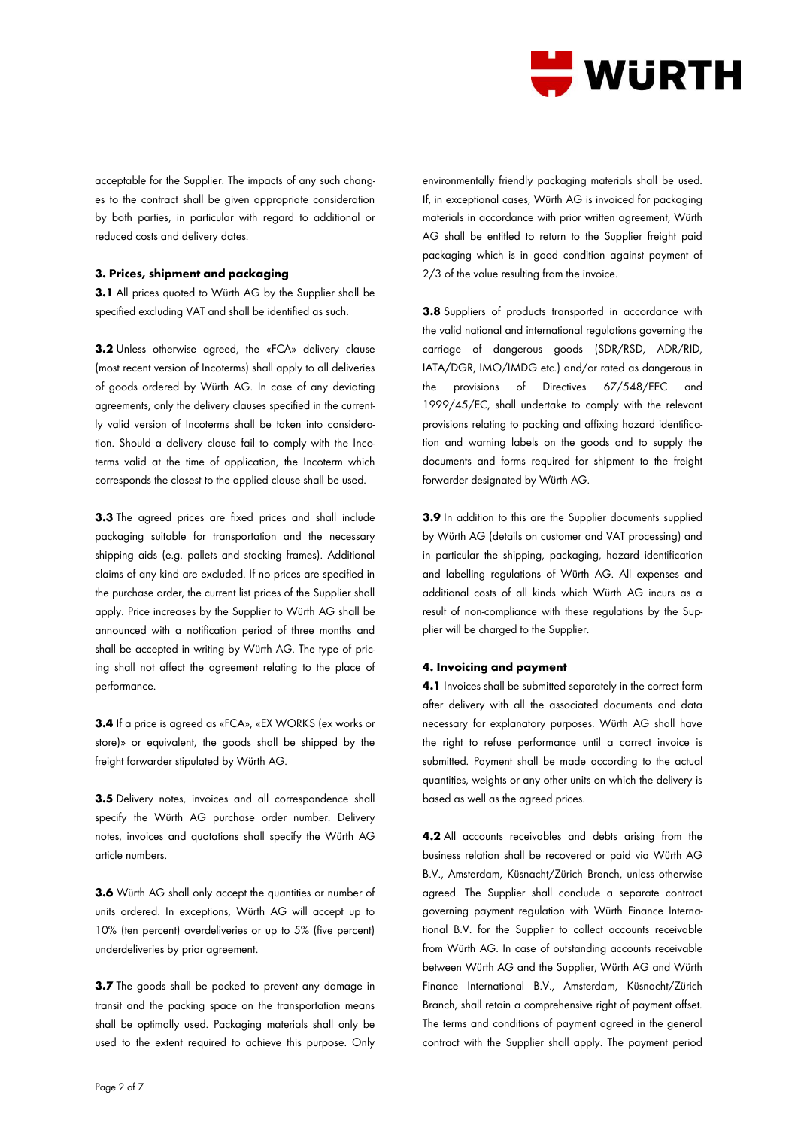

acceptable for the Supplier. The impacts of any such changes to the contract shall be given appropriate consideration by both parties, in particular with regard to additional or reduced costs and delivery dates.

## **3. Prices, shipment and packaging**

**3.1** All prices quoted to Würth AG by the Supplier shall be specified excluding VAT and shall be identified as such.

**3.2** Unless otherwise agreed, the «FCA» delivery clause (most recent version of Incoterms) shall apply to all deliveries of goods ordered by Würth AG. In case of any deviating agreements, only the delivery clauses specified in the currently valid version of Incoterms shall be taken into consideration. Should a delivery clause fail to comply with the Incoterms valid at the time of application, the Incoterm which corresponds the closest to the applied clause shall be used.

**3.3** The agreed prices are fixed prices and shall include packaging suitable for transportation and the necessary shipping aids (e.g. pallets and stacking frames). Additional claims of any kind are excluded. If no prices are specified in the purchase order, the current list prices of the Supplier shall apply. Price increases by the Supplier to Würth AG shall be announced with a notification period of three months and shall be accepted in writing by Würth AG. The type of pricing shall not affect the agreement relating to the place of performance.

**3.4** If a price is agreed as «FCA», «EX WORKS (ex works or store)» or equivalent, the goods shall be shipped by the freight forwarder stipulated by Würth AG.

**3.5** Delivery notes, invoices and all correspondence shall specify the Würth AG purchase order number. Delivery notes, invoices and quotations shall specify the Würth AG article numbers.

**3.6** Würth AG shall only accept the quantities or number of units ordered. In exceptions, Würth AG will accept up to 10% (ten percent) overdeliveries or up to 5% (five percent) underdeliveries by prior agreement.

**3.7** The goods shall be packed to prevent any damage in transit and the packing space on the transportation means shall be optimally used. Packaging materials shall only be used to the extent required to achieve this purpose. Only

environmentally friendly packaging materials shall be used. If, in exceptional cases, Würth AG is invoiced for packaging materials in accordance with prior written agreement, Würth AG shall be entitled to return to the Supplier freight paid packaging which is in good condition against payment of 2/3 of the value resulting from the invoice.

**3.8** Suppliers of products transported in accordance with the valid national and international regulations governing the carriage of dangerous goods (SDR/RSD, ADR/RID, IATA/DGR, IMO/IMDG etc.) and/or rated as dangerous in the provisions of Directives 67/548/EEC and 1999/45/EC, shall undertake to comply with the relevant provisions relating to packing and affixing hazard identification and warning labels on the goods and to supply the documents and forms required for shipment to the freight forwarder designated by Würth AG.

**3.9** In addition to this are the Supplier documents supplied by Würth AG (details on customer and VAT processing) and in particular the shipping, packaging, hazard identification and labelling regulations of Würth AG. All expenses and additional costs of all kinds which Würth AG incurs as a result of non-compliance with these regulations by the Supplier will be charged to the Supplier.

## **4. Invoicing and payment**

**4.1** Invoices shall be submitted separately in the correct form after delivery with all the associated documents and data necessary for explanatory purposes. Würth AG shall have the right to refuse performance until a correct invoice is submitted. Payment shall be made according to the actual quantities, weights or any other units on which the delivery is based as well as the agreed prices.

**4.2** All accounts receivables and debts arising from the business relation shall be recovered or paid via Würth AG B.V., Amsterdam, Küsnacht/Zürich Branch, unless otherwise agreed. The Supplier shall conclude a separate contract governing payment regulation with Würth Finance International B.V. for the Supplier to collect accounts receivable from Würth AG. In case of outstanding accounts receivable between Würth AG and the Supplier, Würth AG and Würth Finance International B.V., Amsterdam, Küsnacht/Zürich Branch, shall retain a comprehensive right of payment offset. The terms and conditions of payment agreed in the general contract with the Supplier shall apply. The payment period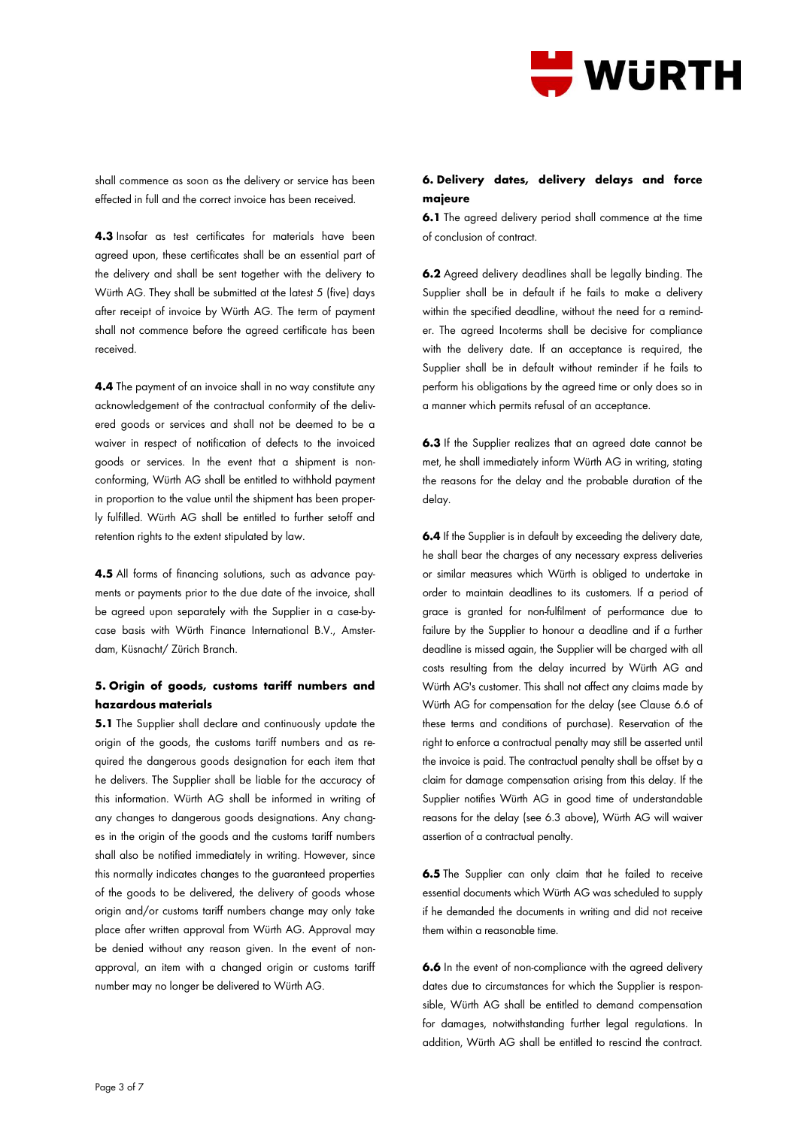

shall commence as soon as the delivery or service has been effected in full and the correct invoice has been received.

**4.3** Insofar as test certificates for materials have been agreed upon, these certificates shall be an essential part of the delivery and shall be sent together with the delivery to Würth AG. They shall be submitted at the latest 5 (five) days after receipt of invoice by Würth AG. The term of payment shall not commence before the agreed certificate has been received.

**4.4** The payment of an invoice shall in no way constitute any acknowledgement of the contractual conformity of the delivered goods or services and shall not be deemed to be a waiver in respect of notification of defects to the invoiced goods or services. In the event that a shipment is nonconforming, Würth AG shall be entitled to withhold payment in proportion to the value until the shipment has been properly fulfilled. Würth AG shall be entitled to further setoff and retention rights to the extent stipulated by law.

**4.5** All forms of financing solutions, such as advance payments or payments prior to the due date of the invoice, shall be agreed upon separately with the Supplier in a case-bycase basis with Würth Finance International B.V., Amsterdam, Küsnacht/ Zürich Branch.

# **5. Origin of goods, customs tariff numbers and hazardous materials**

**5.1** The Supplier shall declare and continuously update the origin of the goods, the customs tariff numbers and as required the dangerous goods designation for each item that he delivers. The Supplier shall be liable for the accuracy of this information. Würth AG shall be informed in writing of any changes to dangerous goods designations. Any changes in the origin of the goods and the customs tariff numbers shall also be notified immediately in writing. However, since this normally indicates changes to the guaranteed properties of the goods to be delivered, the delivery of goods whose origin and/or customs tariff numbers change may only take place after written approval from Würth AG. Approval may be denied without any reason given. In the event of nonapproval, an item with a changed origin or customs tariff number may no longer be delivered to Würth AG.

# **6. Delivery dates, delivery delays and force majeure**

**6.1** The agreed delivery period shall commence at the time of conclusion of contract.

**6.2** Agreed delivery deadlines shall be legally binding. The Supplier shall be in default if he fails to make a delivery within the specified deadline, without the need for a reminder. The agreed Incoterms shall be decisive for compliance with the delivery date. If an acceptance is required, the Supplier shall be in default without reminder if he fails to perform his obligations by the agreed time or only does so in a manner which permits refusal of an acceptance.

**6.3** If the Supplier realizes that an agreed date cannot be met, he shall immediately inform Würth AG in writing, stating the reasons for the delay and the probable duration of the delay.

**6.4** If the Supplier is in default by exceeding the delivery date, he shall bear the charges of any necessary express deliveries or similar measures which Würth is obliged to undertake in order to maintain deadlines to its customers. If a period of grace is granted for non-fulfilment of performance due to failure by the Supplier to honour a deadline and if a further deadline is missed again, the Supplier will be charged with all costs resulting from the delay incurred by Würth AG and Würth AG's customer. This shall not affect any claims made by Würth AG for compensation for the delay (see Clause 6.6 of these terms and conditions of purchase). Reservation of the right to enforce a contractual penalty may still be asserted until the invoice is paid. The contractual penalty shall be offset by a claim for damage compensation arising from this delay. If the Supplier notifies Würth AG in good time of understandable reasons for the delay (see 6.3 above), Würth AG will waiver assertion of a contractual penalty.

**6.5** The Supplier can only claim that he failed to receive essential documents which Würth AG was scheduled to supply if he demanded the documents in writing and did not receive them within a reasonable time.

**6.6** In the event of non-compliance with the agreed delivery dates due to circumstances for which the Supplier is responsible, Würth AG shall be entitled to demand compensation for damages, notwithstanding further legal regulations. In addition, Würth AG shall be entitled to rescind the contract.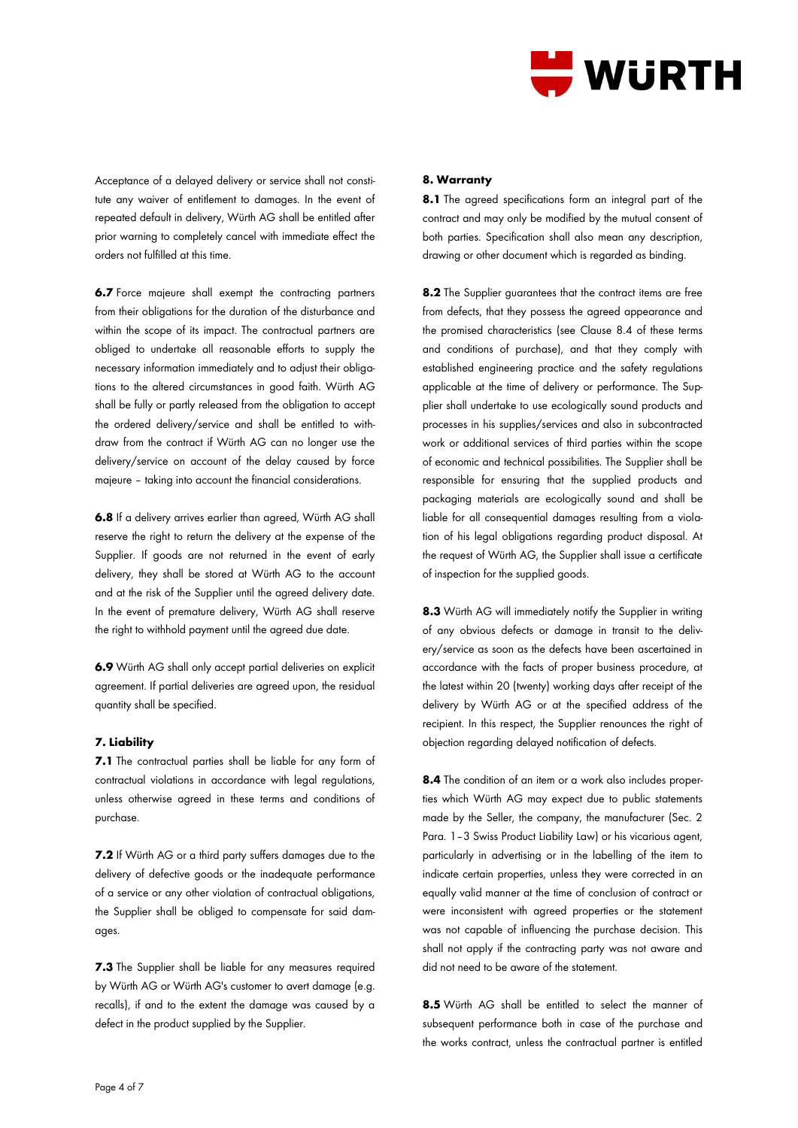

Acceptance of a delayed delivery or service shall not constitute any waiver of entitlement to damages. In the event of repeated default in delivery, Würth AG shall be entitled after prior warning to completely cancel with immediate effect the orders not fulfilled at this time.

**6.7** Force majeure shall exempt the contracting partners from their obligations for the duration of the disturbance and within the scope of its impact. The contractual partners are obliged to undertake all reasonable efforts to supply the necessary information immediately and to adjust their obligations to the altered circumstances in good faith. Würth AG shall be fully or partly released from the obligation to accept the ordered delivery/service and shall be entitled to withdraw from the contract if Würth AG can no longer use the delivery/service on account of the delay caused by force majeure – taking into account the financial considerations.

**6.8** If a delivery arrives earlier than agreed, Würth AG shall reserve the right to return the delivery at the expense of the Supplier. If goods are not returned in the event of early delivery, they shall be stored at Würth AG to the account and at the risk of the Supplier until the agreed delivery date. In the event of premature delivery, Würth AG shall reserve the right to withhold payment until the agreed due date.

**6.9** Würth AG shall only accept partial deliveries on explicit agreement. If partial deliveries are agreed upon, the residual quantity shall be specified.

## **7. Liability**

**7.1** The contractual parties shall be liable for any form of contractual violations in accordance with legal regulations, unless otherwise agreed in these terms and conditions of purchase.

**7.2** If Würth AG or a third party suffers damages due to the delivery of defective goods or the inadequate performance of a service or any other violation of contractual obligations, the Supplier shall be obliged to compensate for said damages.

**7.3** The Supplier shall be liable for any measures required by Würth AG or Würth AG's customer to avert damage (e.g. recalls), if and to the extent the damage was caused by a defect in the product supplied by the Supplier.

#### **8. Warranty**

**8.1** The agreed specifications form an integral part of the contract and may only be modified by the mutual consent of both parties. Specification shall also mean any description, drawing or other document which is regarded as binding.

**8.2** The Supplier guarantees that the contract items are free from defects, that they possess the agreed appearance and the promised characteristics (see Clause 8.4 of these terms and conditions of purchase), and that they comply with established engineering practice and the safety regulations applicable at the time of delivery or performance. The Supplier shall undertake to use ecologically sound products and processes in his supplies/services and also in subcontracted work or additional services of third parties within the scope of economic and technical possibilities. The Supplier shall be responsible for ensuring that the supplied products and packaging materials are ecologically sound and shall be liable for all consequential damages resulting from a violation of his legal obligations regarding product disposal. At the request of Würth AG, the Supplier shall issue a certificate of inspection for the supplied goods.

**8.3** Würth AG will immediately notify the Supplier in writing of any obvious defects or damage in transit to the delivery/service as soon as the defects have been ascertained in accordance with the facts of proper business procedure, at the latest within 20 (twenty) working days after receipt of the delivery by Würth AG or at the specified address of the recipient. In this respect, the Supplier renounces the right of objection regarding delayed notification of defects.

**8.4** The condition of an item or a work also includes properties which Würth AG may expect due to public statements made by the Seller, the company, the manufacturer (Sec. 2 Para. 1–3 Swiss Product Liability Law) or his vicarious agent, particularly in advertising or in the labelling of the item to indicate certain properties, unless they were corrected in an equally valid manner at the time of conclusion of contract or were inconsistent with agreed properties or the statement was not capable of influencing the purchase decision. This shall not apply if the contracting party was not aware and did not need to be aware of the statement.

**8.5** Würth AG shall be entitled to select the manner of subsequent performance both in case of the purchase and the works contract, unless the contractual partner is entitled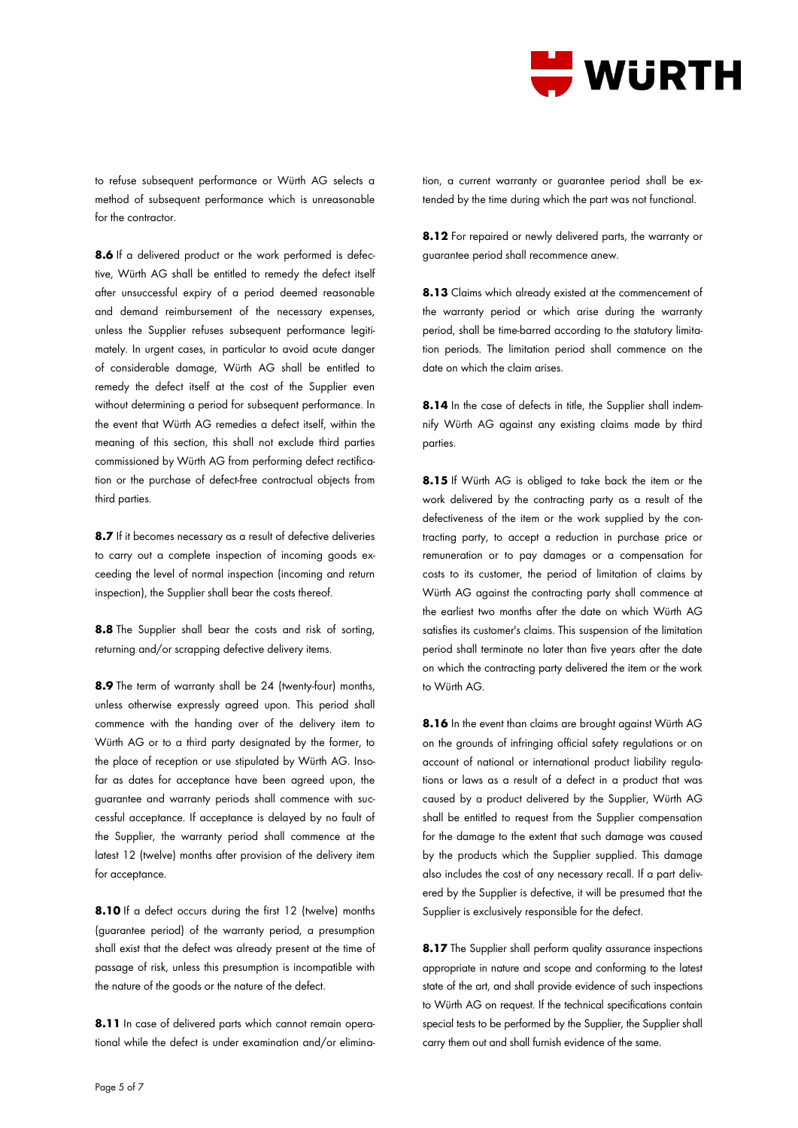

to refuse subsequent performance or Würth AG selects a method of subsequent performance which is unreasonable for the contractor.

**8.6** If a delivered product or the work performed is defective, Würth AG shall be entitled to remedy the defect itself after unsuccessful expiry of a period deemed reasonable and demand reimbursement of the necessary expenses, unless the Supplier refuses subsequent performance legitimately. In urgent cases, in particular to avoid acute danger of considerable damage, Würth AG shall be entitled to remedy the defect itself at the cost of the Supplier even without determining a period for subsequent performance. In the event that Würth AG remedies a defect itself, within the meaning of this section, this shall not exclude third parties commissioned by Würth AG from performing defect rectification or the purchase of defect-free contractual objects from third parties.

**8.7** If it becomes necessary as a result of defective deliveries to carry out a complete inspection of incoming goods exceeding the level of normal inspection (incoming and return inspection), the Supplier shall bear the costs thereof.

**8.8** The Supplier shall bear the costs and risk of sorting, returning and/or scrapping defective delivery items.

**8.9** The term of warranty shall be 24 (twenty-four) months, unless otherwise expressly agreed upon. This period shall commence with the handing over of the delivery item to Würth AG or to a third party designated by the former, to the place of reception or use stipulated by Würth AG. Insofar as dates for acceptance have been agreed upon, the guarantee and warranty periods shall commence with successful acceptance. If acceptance is delayed by no fault of the Supplier, the warranty period shall commence at the latest 12 (twelve) months after provision of the delivery item for acceptance.

8.10 If a defect occurs during the first 12 (twelve) months (guarantee period) of the warranty period, a presumption shall exist that the defect was already present at the time of passage of risk, unless this presumption is incompatible with the nature of the goods or the nature of the defect.

**8.11** In case of delivered parts which cannot remain operational while the defect is under examination and/or elimination, a current warranty or guarantee period shall be extended by the time during which the part was not functional.

**8.12** For repaired or newly delivered parts, the warranty or guarantee period shall recommence anew.

**8.13** Claims which already existed at the commencement of the warranty period or which arise during the warranty period, shall be time-barred according to the statutory limitation periods. The limitation period shall commence on the date on which the claim arises.

**8.14** In the case of defects in title, the Supplier shall indemnify Würth AG against any existing claims made by third parties.

**8.15** If Würth AG is obliged to take back the item or the work delivered by the contracting party as a result of the defectiveness of the item or the work supplied by the contracting party, to accept a reduction in purchase price or remuneration or to pay damages or a compensation for costs to its customer, the period of limitation of claims by Würth AG against the contracting party shall commence at the earliest two months after the date on which Würth AG satisfies its customer's claims. This suspension of the limitation period shall terminate no later than five years after the date on which the contracting party delivered the item or the work to Würth AG.

**8.16** In the event than claims are brought against Würth AG on the grounds of infringing official safety regulations or on account of national or international product liability regulations or laws as a result of a defect in a product that was caused by a product delivered by the Supplier, Würth AG shall be entitled to request from the Supplier compensation for the damage to the extent that such damage was caused by the products which the Supplier supplied. This damage also includes the cost of any necessary recall. If a part delivered by the Supplier is defective, it will be presumed that the Supplier is exclusively responsible for the defect.

8.17 The Supplier shall perform quality assurance inspections appropriate in nature and scope and conforming to the latest state of the art, and shall provide evidence of such inspections to Würth AG on request. If the technical specifications contain special tests to be performed by the Supplier, the Supplier shall carry them out and shall furnish evidence of the same.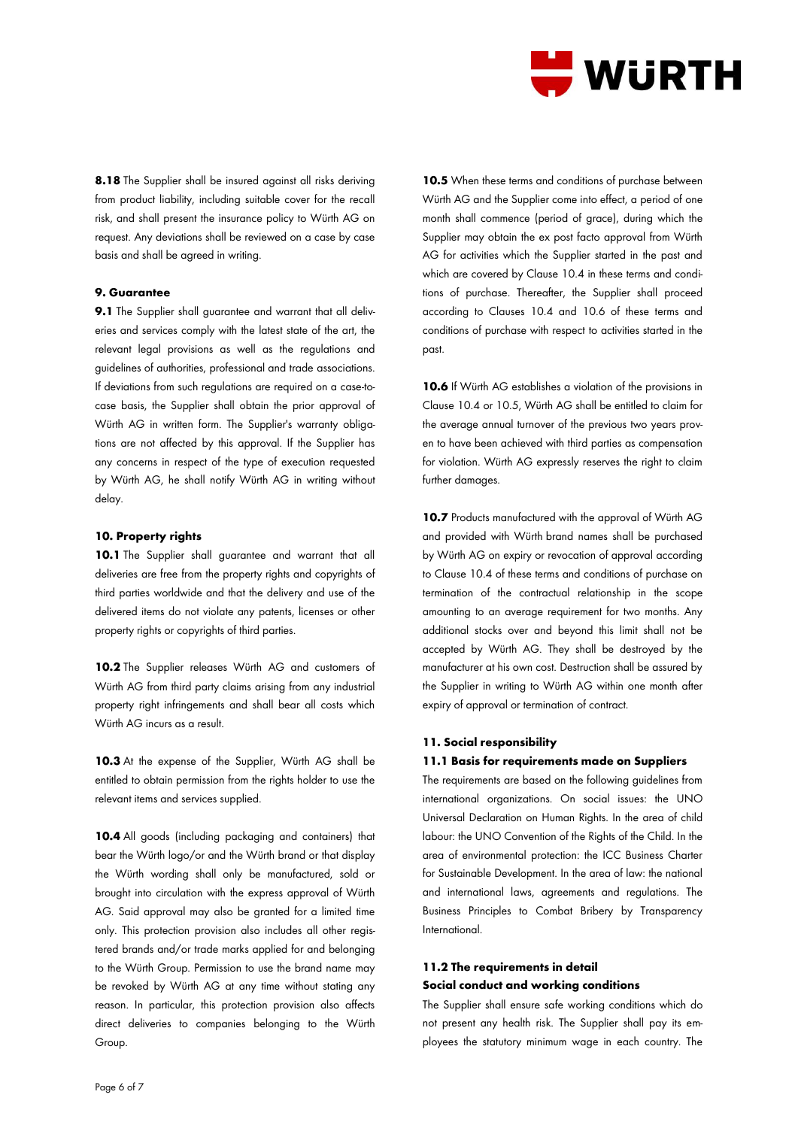

**8.18** The Supplier shall be insured against all risks deriving from product liability, including suitable cover for the recall risk, and shall present the insurance policy to Würth AG on request. Any deviations shall be reviewed on a case by case basis and shall be agreed in writing.

## **9. Guarantee**

**9.1** The Supplier shall guarantee and warrant that all deliveries and services comply with the latest state of the art, the relevant legal provisions as well as the regulations and guidelines of authorities, professional and trade associations. If deviations from such regulations are required on a case-tocase basis, the Supplier shall obtain the prior approval of Würth AG in written form. The Supplier's warranty obligations are not affected by this approval. If the Supplier has any concerns in respect of the type of execution requested by Würth AG, he shall notify Würth AG in writing without delay.

## **10. Property rights**

10.1 The Supplier shall guarantee and warrant that all deliveries are free from the property rights and copyrights of third parties worldwide and that the delivery and use of the delivered items do not violate any patents, licenses or other property rights or copyrights of third parties.

**10.2** The Supplier releases Würth AG and customers of Würth AG from third party claims arising from any industrial property right infringements and shall bear all costs which Würth AG incurs as a result.

**10.3** At the expense of the Supplier, Würth AG shall be entitled to obtain permission from the rights holder to use the relevant items and services supplied.

**10.4** All goods (including packaging and containers) that bear the Würth logo/or and the Würth brand or that display the Würth wording shall only be manufactured, sold or brought into circulation with the express approval of Würth AG. Said approval may also be granted for a limited time only. This protection provision also includes all other registered brands and/or trade marks applied for and belonging to the Würth Group. Permission to use the brand name may be revoked by Würth AG at any time without stating any reason. In particular, this protection provision also affects direct deliveries to companies belonging to the Würth Group.

10.5 When these terms and conditions of purchase between Würth AG and the Supplier come into effect, a period of one month shall commence (period of grace), during which the Supplier may obtain the ex post facto approval from Würth AG for activities which the Supplier started in the past and which are covered by Clause 10.4 in these terms and conditions of purchase. Thereafter, the Supplier shall proceed according to Clauses 10.4 and 10.6 of these terms and conditions of purchase with respect to activities started in the past.

**10.6** If Würth AG establishes a violation of the provisions in Clause 10.4 or 10.5, Würth AG shall be entitled to claim for the average annual turnover of the previous two years proven to have been achieved with third parties as compensation for violation. Würth AG expressly reserves the right to claim further damages.

**10.7** Products manufactured with the approval of Würth AG and provided with Würth brand names shall be purchased by Würth AG on expiry or revocation of approval according to Clause 10.4 of these terms and conditions of purchase on termination of the contractual relationship in the scope amounting to an average requirement for two months. Any additional stocks over and beyond this limit shall not be accepted by Würth AG. They shall be destroyed by the manufacturer at his own cost. Destruction shall be assured by the Supplier in writing to Würth AG within one month after expiry of approval or termination of contract.

#### **11. Social responsibility**

#### **11.1 Basis for requirements made on Suppliers**

The requirements are based on the following guidelines from international organizations. On social issues: the UNO Universal Declaration on Human Rights. In the area of child labour: the UNO Convention of the Rights of the Child. In the area of environmental protection: the ICC Business Charter for Sustainable Development. In the area of law: the national and international laws, agreements and regulations. The Business Principles to Combat Bribery by Transparency International.

# **11.2 The requirements in detail Social conduct and working conditions**

The Supplier shall ensure safe working conditions which do not present any health risk. The Supplier shall pay its employees the statutory minimum wage in each country. The